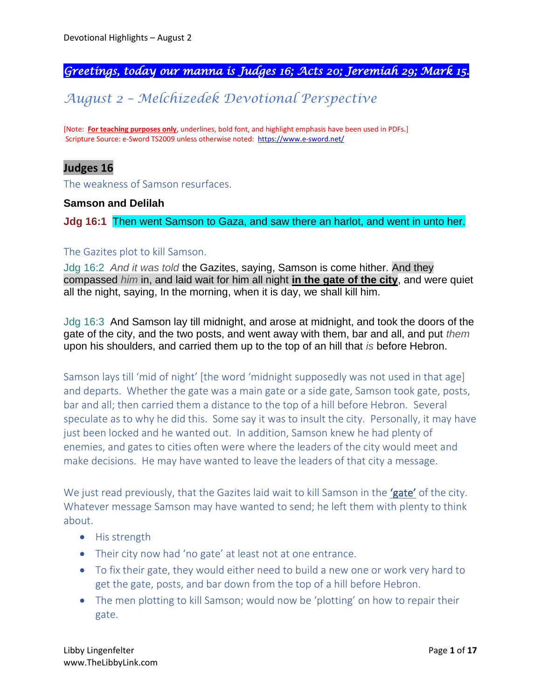# *Greetings, today our manna is Judges 16; Acts 20; Jeremiah 29; Mark 15.*

# *August 2 – Melchizedek Devotional Perspective*

[Note: **For teaching purposes only**, underlines, bold font, and highlight emphasis have been used in PDFs.] Scripture Source: e-Sword TS2009 unless otherwise noted: <https://www.e-sword.net/>

# **Judges 16**

The weakness of Samson resurfaces.

#### **Samson and Delilah**

**Jdg 16:1** Then went Samson to Gaza, and saw there an harlot, and went in unto her.

#### The Gazites plot to kill Samson.

Jdg 16:2 *And it was told* the Gazites, saying, Samson is come hither. And they compassed *him* in, and laid wait for him all night **in the gate of the city**, and were quiet all the night, saying, In the morning, when it is day, we shall kill him.

Jdg 16:3 And Samson lay till midnight, and arose at midnight, and took the doors of the gate of the city, and the two posts, and went away with them, bar and all, and put *them* upon his shoulders, and carried them up to the top of an hill that *is* before Hebron.

Samson lays till 'mid of night' [the word 'midnight supposedly was not used in that age] and departs. Whether the gate was a main gate or a side gate, Samson took gate, posts, bar and all; then carried them a distance to the top of a hill before Hebron. Several speculate as to why he did this. Some say it was to insult the city. Personally, it may have just been locked and he wanted out. In addition, Samson knew he had plenty of enemies, and gates to cities often were where the leaders of the city would meet and make decisions. He may have wanted to leave the leaders of that city a message.

We just read previously, that the Gazites laid wait to kill Samson in the 'gate' of the city. Whatever message Samson may have wanted to send; he left them with plenty to think about.

- His strength
- Their city now had 'no gate' at least not at one entrance.
- To fix their gate, they would either need to build a new one or work very hard to get the gate, posts, and bar down from the top of a hill before Hebron.
- The men plotting to kill Samson; would now be 'plotting' on how to repair their gate.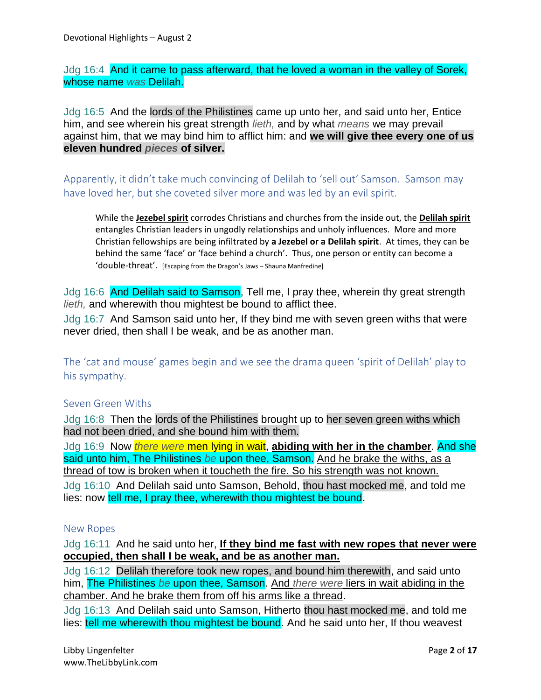Jdg 16:4 And it came to pass afterward, that he loved a woman in the valley of Sorek, whose name *was* Delilah.

Jdg 16:5 And the lords of the Philistines came up unto her, and said unto her, Entice him, and see wherein his great strength *lieth,* and by what *means* we may prevail against him, that we may bind him to afflict him: and **we will give thee every one of us eleven hundred** *pieces* **of silver.**

Apparently, it didn't take much convincing of Delilah to 'sell out' Samson. Samson may have loved her, but she coveted silver more and was led by an evil spirit.

While the **Jezebel spirit** corrodes Christians and churches from the inside out, the **Delilah spirit** entangles Christian leaders in ungodly relationships and unholy influences. More and more Christian fellowships are being infiltrated by **a Jezebel or a Delilah spirit**. At times, they can be behind the same 'face' or 'face behind a church'. Thus, one person or entity can become a 'double-threat'. [Escaping from the Dragon's Jaws – Shauna Manfredine]

Jdg 16:6 And Delilah said to Samson, Tell me, I pray thee, wherein thy great strength *lieth,* and wherewith thou mightest be bound to afflict thee.

Jdg 16:7 And Samson said unto her, If they bind me with seven green withs that were never dried, then shall I be weak, and be as another man.

The 'cat and mouse' games begin and we see the drama queen 'spirit of Delilah' play to his sympathy.

### Seven Green Withs

Jdg 16:8 Then the lords of the Philistines brought up to her seven green withs which had not been dried, and she bound him with them.

Jdg 16:9 Now *there were* men lying in wait, **abiding with her in the chamber**. And she said unto him, The Philistines *be* upon thee, Samson. And he brake the withs, as a thread of tow is broken when it toucheth the fire. So his strength was not known.

Jdg 16:10 And Delilah said unto Samson, Behold, thou hast mocked me, and told me lies: now tell me, I pray thee, wherewith thou mightest be bound.

#### New Ropes

Jdg 16:11 And he said unto her, **If they bind me fast with new ropes that never were occupied, then shall I be weak, and be as another man.**

Jdg 16:12 Delilah therefore took new ropes, and bound him therewith, and said unto him, The Philistines *be* upon thee, Samson. And *there were* liers in wait abiding in the chamber. And he brake them from off his arms like a thread.

Jdg 16:13 And Delilah said unto Samson, Hitherto thou hast mocked me, and told me lies: tell me wherewith thou mightest be bound. And he said unto her, If thou weavest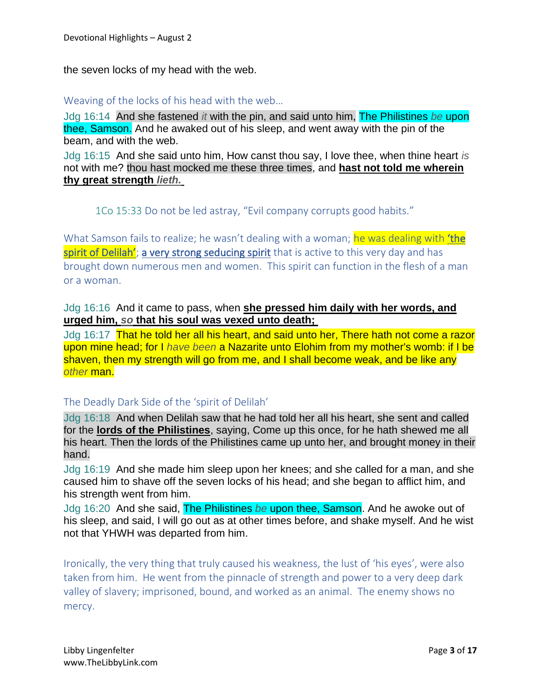the seven locks of my head with the web.

#### Weaving of the locks of his head with the web…

Jdg 16:14 And she fastened *it* with the pin, and said unto him, The Philistines *be* upon thee, Samson. And he awaked out of his sleep, and went away with the pin of the beam, and with the web.

Jdg 16:15 And she said unto him, How canst thou say, I love thee, when thine heart *is* not with me? thou hast mocked me these three times, and **hast not told me wherein thy great strength** *lieth.*

# 1Co 15:33 Do not be led astray, "Evil company corrupts good habits."

What Samson fails to realize; he wasn't dealing with a woman; he was dealing with 'the spirit of Delilah'; a very strong seducing spirit that is active to this very day and has brought down numerous men and women. This spirit can function in the flesh of a man or a woman.

### Jdg 16:16 And it came to pass, when **she pressed him daily with her words, and urged him,** *so* **that his soul was vexed unto death;**

Jdg 16:17 That he told her all his heart, and said unto her, There hath not come a razor upon mine head; for I *have been* a Nazarite unto Elohim from my mother's womb: if I be shaven, then my strength will go from me, and I shall become weak, and be like any *other* man.

### The Deadly Dark Side of the 'spirit of Delilah'

Jdg 16:18 And when Delilah saw that he had told her all his heart, she sent and called for the **lords of the Philistines**, saying, Come up this once, for he hath shewed me all his heart. Then the lords of the Philistines came up unto her, and brought money in their hand.

Jdg 16:19 And she made him sleep upon her knees; and she called for a man, and she caused him to shave off the seven locks of his head; and she began to afflict him, and his strength went from him.

Jdg 16:20 And she said, The Philistines *be* upon thee, Samson. And he awoke out of his sleep, and said, I will go out as at other times before, and shake myself. And he wist not that YHWH was departed from him.

Ironically, the very thing that truly caused his weakness, the lust of 'his eyes', were also taken from him. He went from the pinnacle of strength and power to a very deep dark valley of slavery; imprisoned, bound, and worked as an animal. The enemy shows no mercy.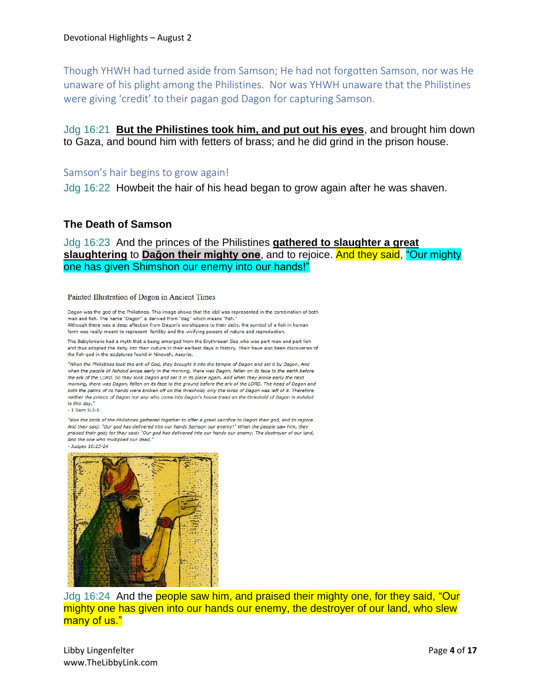Though YHWH had turned aside from Samson; He had not forgotten Samson, nor was He unaware of his plight among the Philistines. Nor was YHWH unaware that the Philistines were giving 'credit' to their pagan god Dagon for capturing Samson.

Jdg 16:21 **But the Philistines took him, and put out his eyes**, and brought him down to Gaza, and bound him with fetters of brass; and he did grind in the prison house.

#### Samson's hair begins to grow again!

Jdg 16:22 Howbeit the hair of his head began to grow again after he was shaven.

#### **The Death of Samson**

Jdg 16:23 And the princes of the Philistines **gathered to slaughter a great slaughtering** to **Daḡon their mighty one**, and to rejoice. And they said, "Our mighty one has given Shimshon our enemy into our hands!"

#### Painted Illustration of Dagon in Ancient Times

Dagon was the god of the Philistines. This image shows that the idol was represented in the combination of both man and fish. The name "Dagon" is derived from "dag" which means "fish." Although there was a deep affection from Dagon's worshippers to their deity, the symbol of a fish in human form was really meant to represent fertility and the vivifying powers of nature and reproduction.

The Babylonians had a myth that a being emerged from the Erythraean Sea who was part man and part fish and thus adopted the deity into their culture in their earliest days in history. Their have also been discoveries of the fish-god in the sculptures found in Nineveh, Assyria.

"When the Philistines took the ark of God, they brought it into the temple of Dagon and set it by Dagon. And when the people of Ashdod arose early in the morning, there was Dagon, fallen on its face to the earth before the ark of the LORD. So they took Dagon and set it in its place again. And when they arose early the next morning, there was Dagon, fallen on its face to the ground before the ark of the LORD. The head of Dagon and both the palms of its hands were broken off on the threshold; only the torso of Dagon was left of it. Therefore neither the priests of Dagon nor any who come into Dagon's house tread on the threshold of Dagon in Ashdod to this day.

 $-1$  Sam 5:2-5

"Now the lords of the Philistines gathered together to offer a great sacrifice to Dagon their god, and to rejoice. And they said: "Our god has delivered into our hands Samson our enemy!" When the people saw him, they praised their god; for they said: "Our god has delivered into our hands our enemy, The destroyer of our land, And the one who multiplied our dead.

- Judges 16:23-24



Jdg 16:24 And the people saw him, and praised their mighty one, for they said, "Our mighty one has given into our hands our enemy, the destroyer of our land, who slew many of us."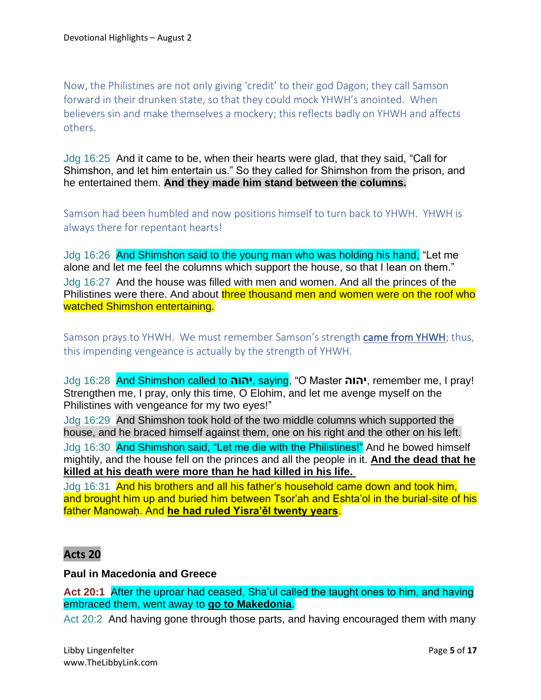Now, the Philistines are not only giving 'credit' to their god Dagon; they call Samson forward in their drunken state, so that they could mock YHWH's anointed. When believers sin and make themselves a mockery; this reflects badly on YHWH and affects others.

Jdg 16:25 And it came to be, when their hearts were glad, that they said, "Call for Shimshon, and let him entertain us." So they called for Shimshon from the prison, and he entertained them. **And they made him stand between the columns.**

Samson had been humbled and now positions himself to turn back to YHWH. YHWH is always there for repentant hearts!

Jdg 16:26 And Shimshon said to the young man who was holding his hand, "Let me alone and let me feel the columns which support the house, so that I lean on them." Jdg 16:27 And the house was filled with men and women. And all the princes of the Philistines were there. And about three thousand men and women were on the roof who watched Shimshon entertaining.

Samson prays to YHWH. We must remember Samson's strength came from YHWH; thus, this impending vengeance is actually by the strength of YHWH.

Jdg 16:28 And Shimshon called to **יהוה**, saying, "O Master **יהוה**, remember me, I pray! Strengthen me, I pray, only this time, O Elohim, and let me avenge myself on the Philistines with vengeance for my two eyes!"

Jdg 16:29 And Shimshon took hold of the two middle columns which supported the house, and he braced himself against them, one on his right and the other on his left. Jdg 16:30 And Shimshon said, "Let me die with the Philistines!" And he bowed himself mightily, and the house fell on the princes and all the people in it. **And the dead that he killed at his death were more than he had killed in his life.**

Jdg 16:31 And his brothers and all his father's household came down and took him, and brought him up and buried him between Tsor'ah and Eshta'ol in the burial-site of his father Manowaḥ. And **he had ruled Yisra'ěl twenty years**.

# **Acts 20**

#### **Paul in Macedonia and Greece**

**Act 20:1** After the uproar had ceased, Sha'ul called the taught ones to him, and having embraced them, went away to **go to Makedonia**.

Act 20:2 And having gone through those parts, and having encouraged them with many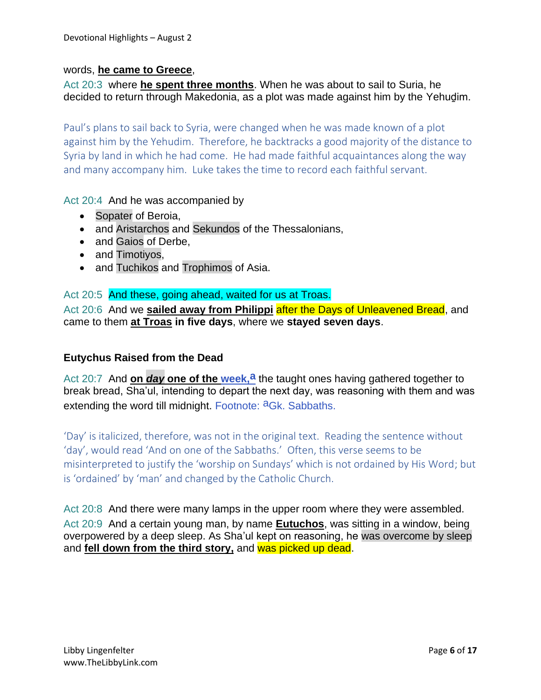#### words, **he came to Greece**,

Act 20:3 where **he spent three months**. When he was about to sail to Suria, he decided to return through Makedonia, as a plot was made against him by the Yehuḏim.

Paul's plans to sail back to Syria, were changed when he was made known of a plot against him by the Yehudim. Therefore, he backtracks a good majority of the distance to Syria by land in which he had come. He had made faithful acquaintances along the way and many accompany him. Luke takes the time to record each faithful servant.

Act 20:4 And he was accompanied by

- Sopater of Beroia,
- and Aristarchos and Sekundos of the Thessalonians,
- and Gaios of Derbe,
- and Timotiyos,
- and Tuchikos and Trophimos of Asia.

Act 20:5 And these, going ahead, waited for us at Troas. Act 20:6 And we **sailed away from Philippi after the Days of Unleavened Bread, and** came to them **at Troas in five days**, where we **stayed seven days**.

### **Eutychus Raised from the Dead**

Act 20:7 And **on** *day* **one of the week,<sup>a</sup> the taught ones having gathered together to** break bread, Sha'ul, intending to depart the next day, was reasoning with them and was extending the word till midnight. Footnote: <sup>a</sup>Gk. Sabbaths.

'Day' is italicized, therefore, was not in the original text. Reading the sentence without 'day', would read 'And on one of the Sabbaths.' Often, this verse seems to be misinterpreted to justify the 'worship on Sundays' which is not ordained by His Word; but is 'ordained' by 'man' and changed by the Catholic Church.

Act 20:8 And there were many lamps in the upper room where they were assembled. Act 20:9 And a certain young man, by name **Eutuchos**, was sitting in a window, being overpowered by a deep sleep. As Sha'ul kept on reasoning, he was overcome by sleep and **fell down from the third story,** and was picked up dead.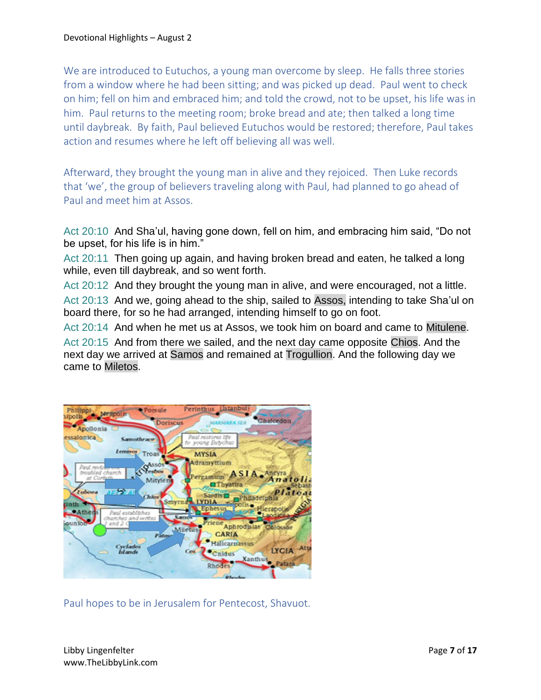We are introduced to Eutuchos, a young man overcome by sleep. He falls three stories from a window where he had been sitting; and was picked up dead. Paul went to check on him; fell on him and embraced him; and told the crowd, not to be upset, his life was in him. Paul returns to the meeting room; broke bread and ate; then talked a long time until daybreak. By faith, Paul believed Eutuchos would be restored; therefore, Paul takes action and resumes where he left off believing all was well.

Afterward, they brought the young man in alive and they rejoiced. Then Luke records that 'we', the group of believers traveling along with Paul, had planned to go ahead of Paul and meet him at Assos.

Act 20:10 And Sha'ul, having gone down, fell on him, and embracing him said, "Do not be upset, for his life is in him."

Act 20:11 Then going up again, and having broken bread and eaten, he talked a long while, even till daybreak, and so went forth.

Act 20:12 And they brought the young man in alive, and were encouraged, not a little. Act 20:13 And we, going ahead to the ship, sailed to Assos, intending to take Sha'ul on board there, for so he had arranged, intending himself to go on foot.

Act 20:14 And when he met us at Assos, we took him on board and came to Mitulene.

Act 20:15 And from there we sailed, and the next day came opposite Chios. And the next day we arrived at Samos and remained at Trogullion. And the following day we came to Miletos.



Paul hopes to be in Jerusalem for Pentecost, Shavuot.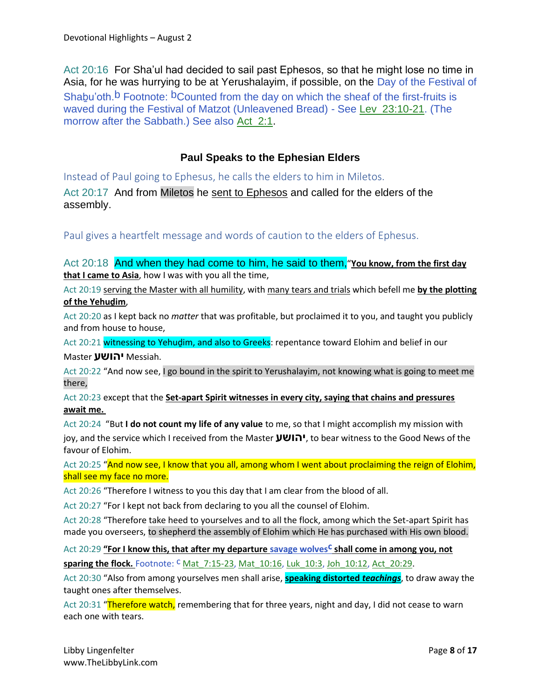Act 20:16 For Sha'ul had decided to sail past Ephesos, so that he might lose no time in Asia, for he was hurrying to be at Yerushalayim, if possible, on the Day of the Festival of Shabu'oth.<sup>b</sup> Footnote: <sup>b</sup>Counted from the day on which the sheaf of the first-fruits is waved during the Festival of Matzot (Unleavened Bread) - See Lev\_23:10-21. (The morrow after the Sabbath.) See also Act\_2:1.

# **Paul Speaks to the Ephesian Elders**

Instead of Paul going to Ephesus, he calls the elders to him in Miletos.

Act 20:17 And from Miletos he sent to Ephesos and called for the elders of the assembly.

Paul gives a heartfelt message and words of caution to the elders of Ephesus.

Act 20:18 And when they had come to him, he said to them,"**You know, from the first day that I came to Asia**, how I was with you all the time,

Act 20:19 serving the Master with all humility, with many tears and trials which befell me **by the plotting of the Yehuḏim**,

Act 20:20 as I kept back no *matter* that was profitable, but proclaimed it to you, and taught you publicly and from house to house,

Act 20:21 witnessing to Yehudim, and also to Greeks: repentance toward Elohim and belief in our Master **יהושע** Messiah.

Act 20:22 "And now see, I go bound in the spirit to Yerushalayim, not knowing what is going to meet me there,

Act 20:23 except that the **Set-apart Spirit witnesses in every city, saying that chains and pressures await me.**

Act 20:24 "But **I do not count my life of any value** to me, so that I might accomplish my mission with joy, and the service which I received from the Master **יהושע**, to bear witness to the Good News of the favour of Elohim.

Act 20:25 "And now see, I know that you all, among whom I went about proclaiming the reign of Elohim, shall see my face no more.

Act 20:26 "Therefore I witness to you this day that I am clear from the blood of all.

Act 20:27 "For I kept not back from declaring to you all the counsel of Elohim.

Act 20:28 "Therefore take heed to yourselves and to all the flock, among which the Set-apart Spirit has made you overseers, to shepherd the assembly of Elohim which He has purchased with His own blood.

Act 20:29 "For I know this, that after my departure savage wolves<sup>c</sup> shall come in among you, not **sparing the flock.** Footnote: <sup>C</sup> Mat\_7:15-23, Mat\_10:16, Luk\_10:3, Joh\_10:12, Act\_20:29.

Act 20:30 "Also from among yourselves men shall arise, **speaking distorted** *teachings*, to draw away the taught ones after themselves.

Act 20:31 "Therefore watch, remembering that for three years, night and day, I did not cease to warn each one with tears.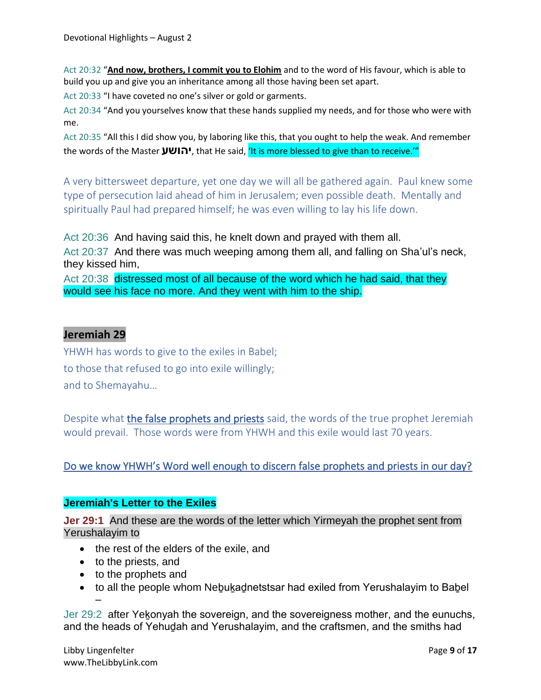Act 20:32 "**And now, brothers, I commit you to Elohim** and to the word of His favour, which is able to build you up and give you an inheritance among all those having been set apart.

Act 20:33 "I have coveted no one's silver or gold or garments.

Act 20:34 "And you yourselves know that these hands supplied my needs, and for those who were with me.

Act 20:35 "All this I did show you, by laboring like this, that you ought to help the weak. And remember the words of the Master **יהושע**, that He said, 'It is more blessed to give than to receive.'"

A very bittersweet departure, yet one day we will all be gathered again. Paul knew some type of persecution laid ahead of him in Jerusalem; even possible death. Mentally and spiritually Paul had prepared himself; he was even willing to lay his life down.

Act 20:36 And having said this, he knelt down and prayed with them all.

Act 20:37 And there was much weeping among them all, and falling on Sha'ul's neck, they kissed him,

Act 20:38 distressed most of all because of the word which he had said, that they would see his face no more. And they went with him to the ship.

# **Jeremiah 29**

YHWH has words to give to the exiles in Babel; to those that refused to go into exile willingly; and to Shemayahu…

Despite what the false prophets and priests said, the words of the true prophet Jeremiah would prevail. Those words were from YHWH and this exile would last 70 years.

Do we know YHWH's Word well enough to discern false prophets and priests in our day?

### **Jeremiah's Letter to the Exiles**

**Jer 29:1** And these are the words of the letter which Yirmeyah the prophet sent from Yerushalayim to

- the rest of the elders of the exile, and
- to the priests, and
- to the prophets and
- to all the people whom Nebukadnetstsar had exiled from Yerushalayim to Babel –

Jer 29:2 after Yekonyah the sovereign, and the sovereigness mother, and the eunuchs, and the heads of Yehuḏah and Yerushalayim, and the craftsmen, and the smiths had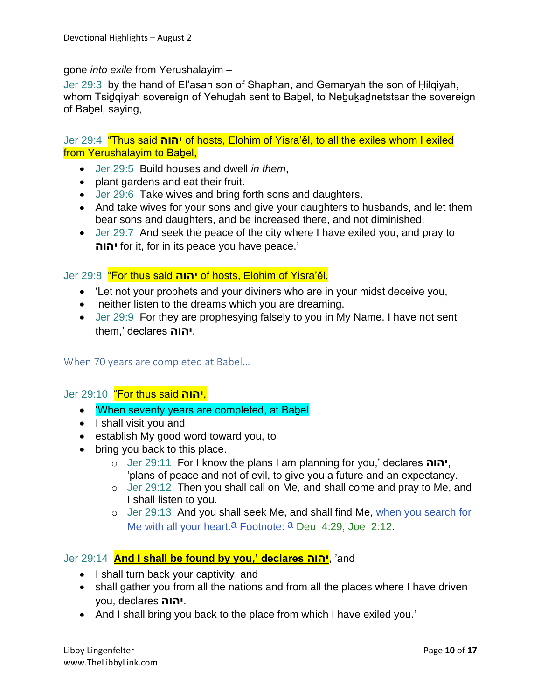gone *into exile* from Yerushalayim –

Jer 29:3 by the hand of El'asah son of Shaphan, and Gemaryah the son of Ḥilqiyah, whom Tsidqiyah sovereign of Yehudah sent to Babel, to Nebukadnetstsar the sovereign of Babel, saying,

Jer 29:4 "Thus said **יהוה** of hosts, Elohim of Yisra'ěl, to all the exiles whom I exiled from Yerushalayim to Babel,

- Jer 29:5 Build houses and dwell *in them*,
- plant gardens and eat their fruit.
- Jer 29:6 Take wives and bring forth sons and daughters.
- And take wives for your sons and give your daughters to husbands, and let them bear sons and daughters, and be increased there, and not diminished.
- Jer 29:7 And seek the peace of the city where I have exiled you, and pray to **יהוה** for it, for in its peace you have peace.'

### Jer 29:8 "For thus said **יהוה** of hosts, Elohim of Yisra'ěl,

- 'Let not your prophets and your diviners who are in your midst deceive you,
- neither listen to the dreams which you are dreaming.
- Jer 29:9 For they are prophesying falsely to you in My Name. I have not sent them,' declares **יהוה**.

### When 70 years are completed at Babel…

### Jer 29:10 "For thus said **יהוה**,

- 'When seventy years are completed, at Babel
- I shall visit you and
- establish My good word toward you, to
- bring you back to this place.
	- o Jer 29:11 For I know the plans I am planning for you,' declares **יהוה**, 'plans of peace and not of evil, to give you a future and an expectancy.
	- o Jer 29:12 Then you shall call on Me, and shall come and pray to Me, and I shall listen to you.
	- o Jer 29:13 And you shall seek Me, and shall find Me, when you search for Me with all your heart.<sup>a</sup> Footnote: <sup>a</sup> Deu\_4:29, Joe\_2:12.

### Jer 29:14 **And I shall be found by you,' declares יהוה**,' and

- I shall turn back your captivity, and
- shall gather you from all the nations and from all the places where I have driven you, declares **יהוה**.
- And I shall bring you back to the place from which I have exiled you.'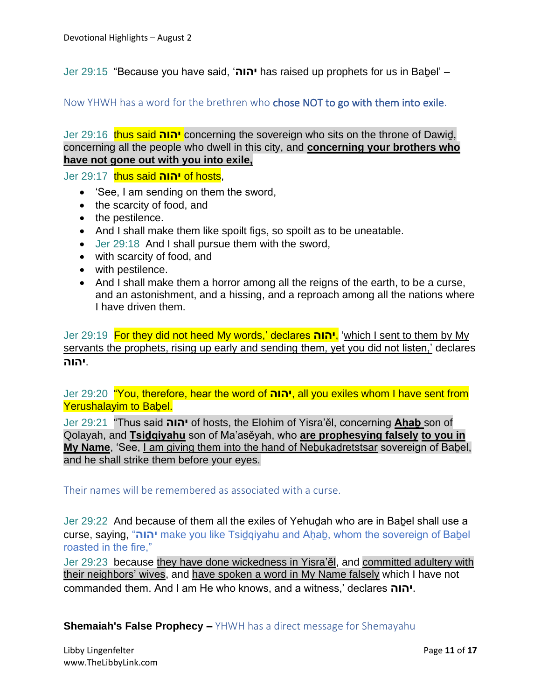Jer 29:15 "Because you have said, '**יהוה** has raised up prophets for us in Baḇel' –

Now YHWH has a word for the brethren who chose NOT to go with them into exile.

Jer 29:16 thus said **יהוה** concerning the sovereign who sits on the throne of Dawiḏ, concerning all the people who dwell in this city, and **concerning your brothers who have not gone out with you into exile,**

Jer 29:17 thus said **יהוה** of hosts,

- 'See, I am sending on them the sword,
- the scarcity of food, and
- the pestilence.
- And I shall make them like spoilt figs, so spoilt as to be uneatable.
- Jer 29:18 And I shall pursue them with the sword,
- with scarcity of food, and
- with pestilence.
- And I shall make them a horror among all the reigns of the earth, to be a curse, and an astonishment, and a hissing, and a reproach among all the nations where I have driven them.

Jer 29:19 For they did not heed My words,' declares **יהוה**,' which I sent to them by My servants the prophets, rising up early and sending them, yet you did not listen,' declares .**יהוה**

Jer 29:20 "You, therefore, hear the word of **יהוה**, all you exiles whom I have sent from Yerushalayim to Babel.

Jer 29:21 "Thus said **יהוה** of hosts, the Elohim of Yisra'ěl, concerning **Aḥaḇ** son of Qolayah, and **Tsiḏqiyahu** son of Ma'asěyah, who **are prophesying falsely to you in My Name**, 'See, I am giving them into the hand of Neḇuḵaḏretstsar sovereign of Baḇel, and he shall strike them before your eyes.

Their names will be remembered as associated with a curse.

Jer 29:22 And because of them all the exiles of Yehuḏah who are in Baḇel shall use a curse, saying, "**יהוה** make you like Tsiḏqiyahu and Aḥaḇ, whom the sovereign of Baḇel roasted in the fire,"

Jer 29:23 because they have done wickedness in Yisra'ěl, and committed adultery with their neighbors' wives, and have spoken a word in My Name falsely which I have not commanded them. And I am He who knows, and a witness,' declares **יהוה**.

**Shemaiah's False Prophecy –** YHWH has a direct message for Shemayahu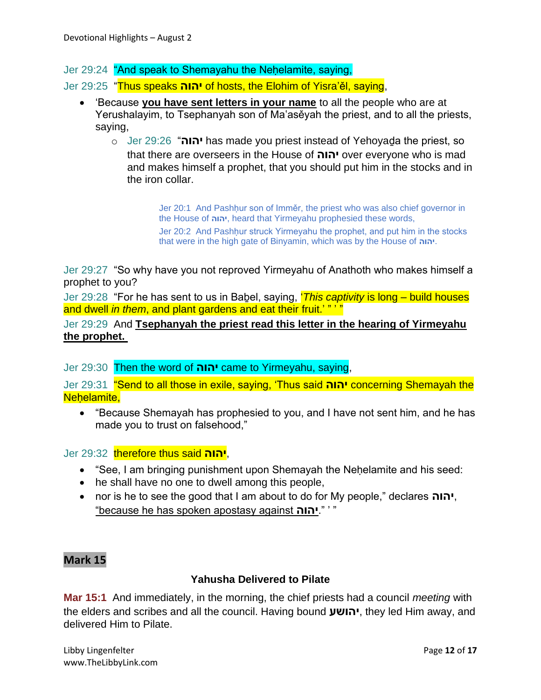Jer 29:24 "And speak to Shemayahu the Nehelamite, saying,

Jer 29:25 "Thus speaks **יהוה** of hosts, the Elohim of Yisra'ěl, saying,

- 'Because **you have sent letters in your name** to all the people who are at Yerushalayim, to Tsephanyah son of Ma'asěyah the priest, and to all the priests, saying,
	- o Jer 29:26 "**יהוה** has made you priest instead of Yehoyaḏa the priest, so that there are overseers in the House of **יהוה** over everyone who is mad and makes himself a prophet, that you should put him in the stocks and in the iron collar.

Jer 20:1 And Pashḥur son of Imměr, the priest who was also chief governor in the House of **יהוה**, heard that Yirmeyahu prophesied these words,

Jer 20:2 And Pashḥur struck Yirmeyahu the prophet, and put him in the stocks that were in the high gate of Binyamin, which was by the House of **יהוה**.

Jer 29:27 "So why have you not reproved Yirmeyahu of Anathoth who makes himself a prophet to you?

Jer 29:28 "For he has sent to us in Baḇel, saying, '*This captivity* is long – build houses and dwell *in them*, and plant gardens and eat their fruit.' " '

Jer 29:29 And **Tsephanyah the priest read this letter in the hearing of Yirmeyahu the prophet.**

Jer 29:30 Then the word of **יהוה** came to Yirmeyahu, saying,

Jer 29:31 "Send to all those in exile, saying, 'Thus said **יהוה** concerning Shemayah the Nehelamite,

• "Because Shemayah has prophesied to you, and I have not sent him, and he has made you to trust on falsehood,"

Jer 29:32 therefore thus said **יהוה**,

- "See, I am bringing punishment upon Shemayah the Nehelamite and his seed:
- he shall have no one to dwell among this people,
- nor is he to see the good that I am about to do for My people," declares **יהוה**, "because he has spoken apostasy against **יהוה**." ' "

# **Mark 15**

### **Yahusha Delivered to Pilate**

**Mar 15:1** And immediately, in the morning, the chief priests had a council *meeting* with the elders and scribes and all the council. Having bound **יהושע**, they led Him away, and delivered Him to Pilate.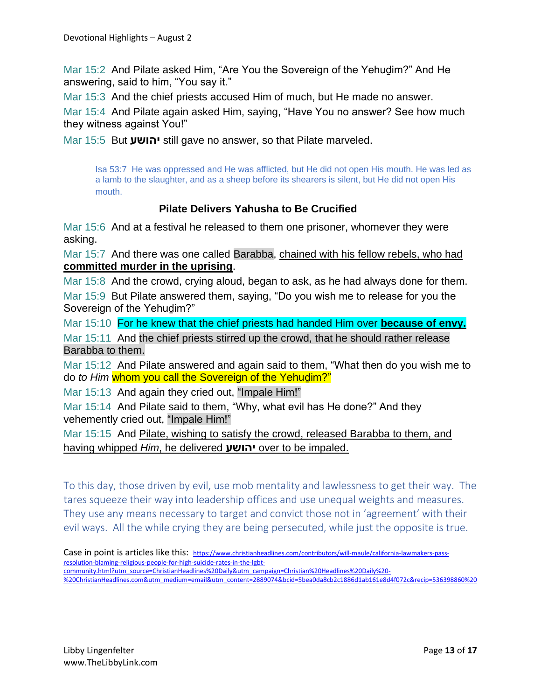Mar 15:2 And Pilate asked Him, "Are You the Sovereign of the Yehudim?" And He answering, said to him, "You say it."

Mar 15:3 And the chief priests accused Him of much, but He made no answer.

Mar 15:4 And Pilate again asked Him, saying, "Have You no answer? See how much they witness against You!"

Mar 15:5 But **יהושע** still gave no answer, so that Pilate marveled.

Isa 53:7 He was oppressed and He was afflicted, but He did not open His mouth. He was led as a lamb to the slaughter, and as a sheep before its shearers is silent, but He did not open His mouth.

# **Pilate Delivers Yahusha to Be Crucified**

Mar 15:6 And at a festival he released to them one prisoner, whomever they were asking.

Mar 15:7 And there was one called Barabba, chained with his fellow rebels, who had **committed murder in the uprising**.

Mar 15:8 And the crowd, crying aloud, began to ask, as he had always done for them. Mar 15:9 But Pilate answered them, saying, "Do you wish me to release for you the Sovereign of the Yehuḏim?"

Mar 15:10 For he knew that the chief priests had handed Him over **because of envy.**

Mar 15:11 And the chief priests stirred up the crowd, that he should rather release Barabba to them.

Mar 15:12 And Pilate answered and again said to them, "What then do you wish me to do *to Him* whom you call the Sovereign of the Yehuḏim?"

Mar 15:13 And again they cried out, "Impale Him!"

Mar 15:14 And Pilate said to them, "Why, what evil has He done?" And they vehemently cried out, "Impale Him!"

Mar 15:15 And Pilate, wishing to satisfy the crowd, released Barabba to them, and having whipped *Him*, he delivered **יהושע** over to be impaled.

To this day, those driven by evil, use mob mentality and lawlessness to get their way. The tares squeeze their way into leadership offices and use unequal weights and measures. They use any means necessary to target and convict those not in 'agreement' with their evil ways. All the while crying they are being persecuted, while just the opposite is true.

Case in point is articles like this: [https://www.christianheadlines.com/contributors/will-maule/california-lawmakers-pass](https://www.christianheadlines.com/contributors/will-maule/california-lawmakers-pass-resolution-blaming-religious-people-for-high-suicide-rates-in-the-lgbt-community.html?utm_source=ChristianHeadlines%20Daily&utm_campaign=Christian%20Headlines%20Daily%20-%20ChristianHeadlines.com&utm_medium=email&utm_content=2889074&bcid=5bea0da8cb2c1886d1ab161e8d4f072c&recip=536398860%20)[resolution-blaming-religious-people-for-high-suicide-rates-in-the-lgbt-](https://www.christianheadlines.com/contributors/will-maule/california-lawmakers-pass-resolution-blaming-religious-people-for-high-suicide-rates-in-the-lgbt-community.html?utm_source=ChristianHeadlines%20Daily&utm_campaign=Christian%20Headlines%20Daily%20-%20ChristianHeadlines.com&utm_medium=email&utm_content=2889074&bcid=5bea0da8cb2c1886d1ab161e8d4f072c&recip=536398860%20)

[community.html?utm\\_source=ChristianHeadlines%20Daily&utm\\_campaign=Christian%20Headlines%20Daily%20-](https://www.christianheadlines.com/contributors/will-maule/california-lawmakers-pass-resolution-blaming-religious-people-for-high-suicide-rates-in-the-lgbt-community.html?utm_source=ChristianHeadlines%20Daily&utm_campaign=Christian%20Headlines%20Daily%20-%20ChristianHeadlines.com&utm_medium=email&utm_content=2889074&bcid=5bea0da8cb2c1886d1ab161e8d4f072c&recip=536398860%20) [%20ChristianHeadlines.com&utm\\_medium=email&utm\\_content=2889074&bcid=5bea0da8cb2c1886d1ab161e8d4f072c&recip=536398860%20](https://www.christianheadlines.com/contributors/will-maule/california-lawmakers-pass-resolution-blaming-religious-people-for-high-suicide-rates-in-the-lgbt-community.html?utm_source=ChristianHeadlines%20Daily&utm_campaign=Christian%20Headlines%20Daily%20-%20ChristianHeadlines.com&utm_medium=email&utm_content=2889074&bcid=5bea0da8cb2c1886d1ab161e8d4f072c&recip=536398860%20)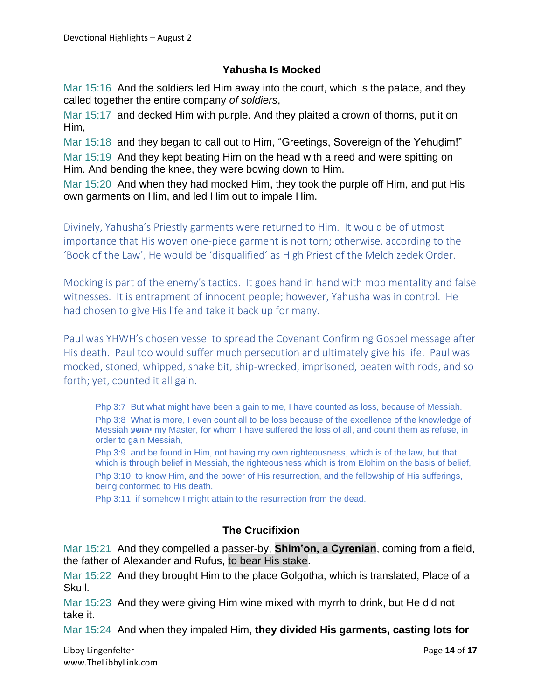# **Yahusha Is Mocked**

Mar 15:16 And the soldiers led Him away into the court, which is the palace, and they called together the entire company *of soldiers*,

Mar 15:17 and decked Him with purple. And they plaited a crown of thorns, put it on Him,

Mar 15:18 and they began to call out to Him, "Greetings, Sovereign of the Yehudim!" Mar 15:19 And they kept beating Him on the head with a reed and were spitting on Him. And bending the knee, they were bowing down to Him.

Mar 15:20 And when they had mocked Him, they took the purple off Him, and put His own garments on Him, and led Him out to impale Him.

Divinely, Yahusha's Priestly garments were returned to Him. It would be of utmost importance that His woven one-piece garment is not torn; otherwise, according to the 'Book of the Law', He would be 'disqualified' as High Priest of the Melchizedek Order.

Mocking is part of the enemy's tactics. It goes hand in hand with mob mentality and false witnesses. It is entrapment of innocent people; however, Yahusha was in control. He had chosen to give His life and take it back up for many.

Paul was YHWH's chosen vessel to spread the Covenant Confirming Gospel message after His death. Paul too would suffer much persecution and ultimately give his life. Paul was mocked, stoned, whipped, snake bit, ship-wrecked, imprisoned, beaten with rods, and so forth; yet, counted it all gain.

Php 3:7 But what might have been a gain to me, I have counted as loss, because of Messiah. Php 3:8 What is more, I even count all to be loss because of the excellence of the knowledge of Messiah **יהושע** my Master, for whom I have suffered the loss of all, and count them as refuse, in order to gain Messiah,

Php 3:9 and be found in Him, not having my own righteousness, which is of the law, but that which is through belief in Messiah, the righteousness which is from Elohim on the basis of belief, Php 3:10 to know Him, and the power of His resurrection, and the fellowship of His sufferings,

being conformed to His death,

Php 3:11 if somehow I might attain to the resurrection from the dead.

# **The Crucifixion**

Mar 15:21 And they compelled a passer-by, **Shim'on, a Cyrenian**, coming from a field, the father of Alexander and Rufus, to bear His stake.

Mar 15:22 And they brought Him to the place Golgotha, which is translated, Place of a Skull.

Mar 15:23 And they were giving Him wine mixed with myrrh to drink, but He did not take it.

Mar 15:24 And when they impaled Him, **they divided His garments, casting lots for** 

Libby Lingenfelter **Page 14** of **17** and the Page 14<sup>of</sup> **17** and the Page 14<sup>of</sup> **17** www.TheLibbyLink.com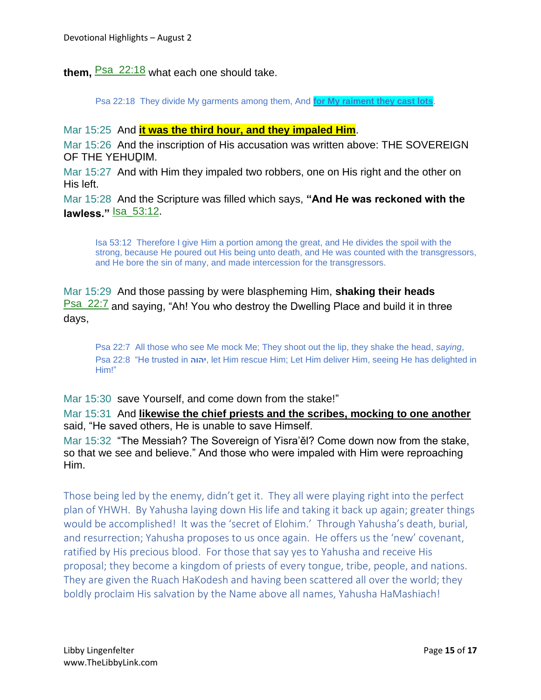**them,** Psa\_22:18 what each one should take.

Psa 22:18 They divide My garments among them, And **for My raiment they cast lots**.

Mar 15:25 And **it was the third hour, and they impaled Him**.

Mar 15:26 And the inscription of His accusation was written above: THE SOVEREIGN OF THE YEHUḎIM.

Mar 15:27 And with Him they impaled two robbers, one on His right and the other on His left.

Mar 15:28 And the Scripture was filled which says, **"And He was reckoned with the lawless."** Isa\_53:12.

Isa 53:12 Therefore I give Him a portion among the great, and He divides the spoil with the strong, because He poured out His being unto death, and He was counted with the transgressors, and He bore the sin of many, and made intercession for the transgressors.

Mar 15:29 And those passing by were blaspheming Him, **shaking their heads Psa\_22:7** and saying, "Ah! You who destroy the Dwelling Place and build it in three days,

Psa 22:7 All those who see Me mock Me; They shoot out the lip, they shake the head, *saying*, Psa 22:8 "He trusted in **יהוה**, let Him rescue Him; Let Him deliver Him, seeing He has delighted in Him!"

Mar 15:30 save Yourself, and come down from the stake!"

Mar 15:31 And **likewise the chief priests and the scribes, mocking to one another** said, "He saved others, He is unable to save Himself.

Mar 15:32 "The Messiah? The Sovereign of Yisra'ěl? Come down now from the stake, so that we see and believe." And those who were impaled with Him were reproaching Him.

Those being led by the enemy, didn't get it. They all were playing right into the perfect plan of YHWH. By Yahusha laying down His life and taking it back up again; greater things would be accomplished! It was the 'secret of Elohim.' Through Yahusha's death, burial, and resurrection; Yahusha proposes to us once again. He offers us the 'new' covenant, ratified by His precious blood. For those that say yes to Yahusha and receive His proposal; they become a kingdom of priests of every tongue, tribe, people, and nations. They are given the Ruach HaKodesh and having been scattered all over the world; they boldly proclaim His salvation by the Name above all names, Yahusha HaMashiach!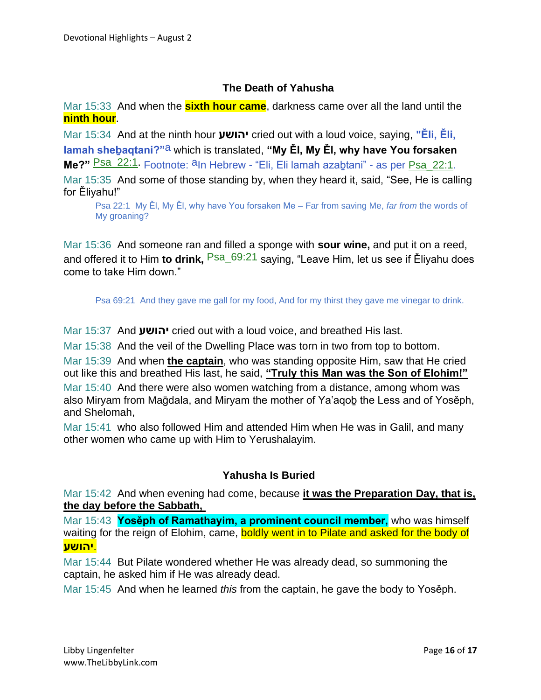# **The Death of Yahusha**

Mar 15:33 And when the **sixth hour came**, darkness came over all the land until the **ninth hour**.

Mar 15:34 And at the ninth hour **יהושע** cried out with a loud voice, saying, **"Ěli, Ěli, lamah sheḇaqtani?"**a which is translated, **"My Ěl, My Ěl, why have You forsaken**  Me?" Psa\_22:1. Footnote: <sup>a</sup>In Hebrew - "Eli, Eli lamah azabtani" - as per Psa\_22:1.

Mar 15:35 And some of those standing by, when they heard it, said, "See, He is calling for Ěliyahu!"

Psa 22:1 My Ěl, My Ěl, why have You forsaken Me – Far from saving Me, *far from* the words of My groaning?

Mar 15:36 And someone ran and filled a sponge with **sour wine,** and put it on a reed, and offered it to Him **to drink**, <sup>Psa\_69:21</sup> saving, "Leave Him, let us see if Ělivahu does come to take Him down."

Psa 69:21 And they gave me gall for my food, And for my thirst they gave me vinegar to drink.

Mar 15:37 And **יהושע** cried out with a loud voice, and breathed His last.

Mar 15:38 And the veil of the Dwelling Place was torn in two from top to bottom.

Mar 15:39 And when **the captain**, who was standing opposite Him, saw that He cried out like this and breathed His last, he said, **"Truly this Man was the Son of Elohim!"**

Mar 15:40 And there were also women watching from a distance, among whom was also Miryam from Maḡdala, and Miryam the mother of Ya'aqoḇ the Less and of Yosěph, and Shelomah,

Mar 15:41 who also followed Him and attended Him when He was in Galil, and many other women who came up with Him to Yerushalayim.

### **Yahusha Is Buried**

Mar 15:42 And when evening had come, because **it was the Preparation Day, that is, the day before the Sabbath,**

Mar 15:43 **Yosěph of Ramathayim, a prominent council member,** who was himself waiting for the reign of Elohim, came, boldly went in to Pilate and asked for the body of .**יהושע**

Mar 15:44 But Pilate wondered whether He was already dead, so summoning the captain, he asked him if He was already dead.

Mar 15:45 And when he learned *this* from the captain, he gave the body to Yosěph.